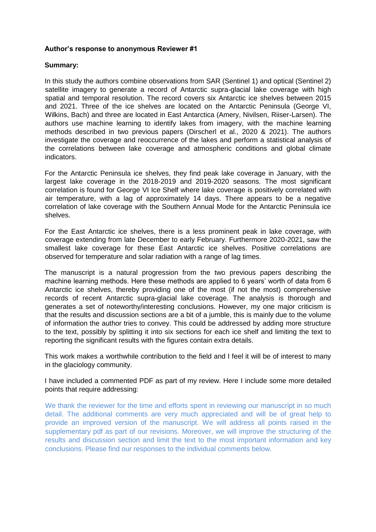## **Author's response to anonymous Reviewer #1**

## **Summary:**

In this study the authors combine observations from SAR (Sentinel 1) and optical (Sentinel 2) satellite imagery to generate a record of Antarctic supra-glacial lake coverage with high spatial and temporal resolution. The record covers six Antarctic ice shelves between 2015 and 2021. Three of the ice shelves are located on the Antarctic Peninsula (George VI, Wilkins, Bach) and three are located in East Antarctica (Amery, Nivilsen, Riiser-Larsen). The authors use machine learning to identify lakes from imagery, with the machine learning methods described in two previous papers (Dirscherl et al., 2020 & 2021). The authors investigate the coverage and reoccurrence of the lakes and perform a statistical analysis of the correlations between lake coverage and atmospheric conditions and global climate indicators.

For the Antarctic Peninsula ice shelves, they find peak lake coverage in January, with the largest lake coverage in the 2018-2019 and 2019-2020 seasons. The most significant correlation is found for George VI Ice Shelf where lake coverage is positively correlated with air temperature, with a lag of approximately 14 days. There appears to be a negative correlation of lake coverage with the Southern Annual Mode for the Antarctic Peninsula ice shelves.

For the East Antarctic ice shelves, there is a less prominent peak in lake coverage, with coverage extending from late December to early February. Furthermore 2020-2021, saw the smallest lake coverage for these East Antarctic ice shelves. Positive correlations are observed for temperature and solar radiation with a range of lag times.

The manuscript is a natural progression from the two previous papers describing the machine learning methods. Here these methods are applied to 6 years' worth of data from 6 Antarctic ice shelves, thereby providing one of the most (if not the most) comprehensive records of recent Antarctic supra-glacial lake coverage. The analysis is thorough and generates a set of noteworthy/interesting conclusions. However, my one major criticism is that the results and discussion sections are a bit of a jumble, this is mainly due to the volume of information the author tries to convey. This could be addressed by adding more structure to the text, possibly by splitting it into six sections for each ice shelf and limiting the text to reporting the significant results with the figures contain extra details.

This work makes a worthwhile contribution to the field and I feel it will be of interest to many in the glaciology community.

I have included a commented PDF as part of my review. Here I include some more detailed points that require addressing:

We thank the reviewer for the time and efforts spent in reviewing our manuscript in so much detail. The additional comments are very much appreciated and will be of great help to provide an improved version of the manuscript. We will address all points raised in the supplementary pdf as part of our revisions. Moreover, we will improve the structuring of the results and discussion section and limit the text to the most important information and key conclusions. Please find our responses to the individual comments below.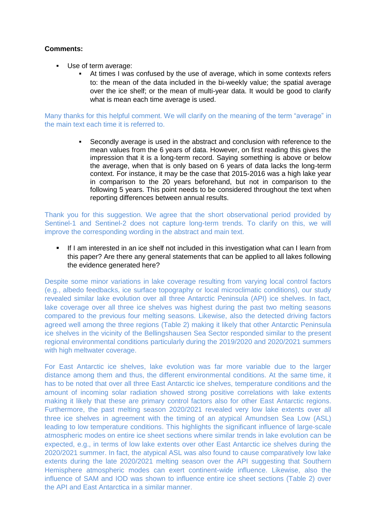# **Comments:**

- Use of term average:
	- At times I was confused by the use of average, which in some contexts refers to: the mean of the data included in the bi-weekly value; the spatial average over the ice shelf; or the mean of multi-year data. It would be good to clarify what is mean each time average is used.

Many thanks for this helpful comment. We will clarify on the meaning of the term "average" in the main text each time it is referred to.

> Secondly average is used in the abstract and conclusion with reference to the mean values from the 6 years of data. However, on first reading this gives the impression that it is a long-term record. Saying something is above or below the average, when that is only based on 6 years of data lacks the long-term context. For instance, it may be the case that 2015-2016 was a high lake year in comparison to the 20 years beforehand, but not in comparison to the following 5 years. This point needs to be considered throughout the text when reporting differences between annual results.

Thank you for this suggestion. We agree that the short observational period provided by Sentinel-1 and Sentinel-2 does not capture long-term trends. To clarify on this, we will improve the corresponding wording in the abstract and main text.

If I am interested in an ice shelf not included in this investigation what can I learn from this paper? Are there any general statements that can be applied to all lakes following the evidence generated here?

Despite some minor variations in lake coverage resulting from varying local control factors (e.g., albedo feedbacks, ice surface topography or local microclimatic conditions), our study revealed similar lake evolution over all three Antarctic Peninsula (API) ice shelves. In fact, lake coverage over all three ice shelves was highest during the past two melting seasons compared to the previous four melting seasons. Likewise, also the detected driving factors agreed well among the three regions (Table 2) making it likely that other Antarctic Peninsula ice shelves in the vicinity of the Bellingshausen Sea Sector responded similar to the present regional environmental conditions particularly during the 2019/2020 and 2020/2021 summers with high meltwater coverage.

For East Antarctic ice shelves, lake evolution was far more variable due to the larger distance among them and thus, the different environmental conditions. At the same time, it has to be noted that over all three East Antarctic ice shelves, temperature conditions and the amount of incoming solar radiation showed strong positive correlations with lake extents making it likely that these are primary control factors also for other East Antarctic regions. Furthermore, the past melting season 2020/2021 revealed very low lake extents over all three ice shelves in agreement with the timing of an atypical Amundsen Sea Low (ASL) leading to low temperature conditions. This highlights the significant influence of large-scale atmospheric modes on entire ice sheet sections where similar trends in lake evolution can be expected, e.g., in terms of low lake extents over other East Antarctic ice shelves during the 2020/2021 summer. In fact, the atypical ASL was also found to cause comparatively low lake extents during the late 2020/2021 melting season over the API suggesting that Southern Hemisphere atmospheric modes can exert continent-wide influence. Likewise, also the influence of SAM and IOD was shown to influence entire ice sheet sections (Table 2) over the API and East Antarctica in a similar manner.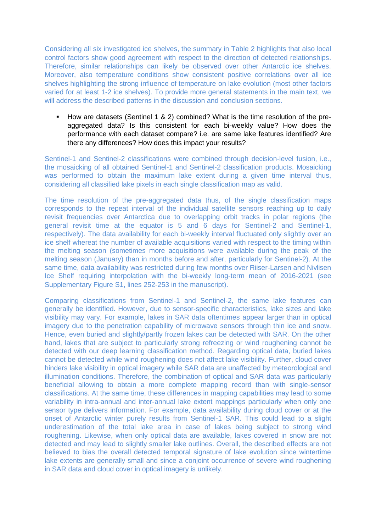Considering all six investigated ice shelves, the summary in Table 2 highlights that also local control factors show good agreement with respect to the direction of detected relationships. Therefore, similar relationships can likely be observed over other Antarctic ice shelves. Moreover, also temperature conditions show consistent positive correlations over all ice shelves highlighting the strong influence of temperature on lake evolution (most other factors varied for at least 1-2 ice shelves). To provide more general statements in the main text, we will address the described patterns in the discussion and conclusion sections.

▪ How are datasets (Sentinel 1 & 2) combined? What is the time resolution of the preaggregated data? Is this consistent for each bi-weekly value? How does the performance with each dataset compare? i.e. are same lake features identified? Are there any differences? How does this impact your results?

Sentinel-1 and Sentinel-2 classifications were combined through decision-level fusion, i.e., the mosaicking of all obtained Sentinel-1 and Sentinel-2 classification products. Mosaicking was performed to obtain the maximum lake extent during a given time interval thus, considering all classified lake pixels in each single classification map as valid.

The time resolution of the pre-aggregated data thus, of the single classification maps corresponds to the repeat interval of the individual satellite sensors reaching up to daily revisit frequencies over Antarctica due to overlapping orbit tracks in polar regions (the general revisit time at the equator is 5 and 6 days for Sentinel-2 and Sentinel-1, respectively). The data availability for each bi-weekly interval fluctuated only slightly over an ice shelf whereat the number of available acquisitions varied with respect to the timing within the melting season (sometimes more acquisitions were available during the peak of the melting season (January) than in months before and after, particularly for Sentinel-2). At the same time, data availability was restricted during few months over Riiser-Larsen and Nivlisen Ice Shelf requiring interpolation with the bi-weekly long-term mean of 2016-2021 (see Supplementary Figure S1, lines 252-253 in the manuscript).

Comparing classifications from Sentinel-1 and Sentinel-2, the same lake features can generally be identified. However, due to sensor-specific characteristics, lake sizes and lake visibility may vary. For example, lakes in SAR data oftentimes appear larger than in optical imagery due to the penetration capability of microwave sensors through thin ice and snow. Hence, even buried and slightly/partly frozen lakes can be detected with SAR. On the other hand, lakes that are subject to particularly strong refreezing or wind roughening cannot be detected with our deep learning classification method. Regarding optical data, buried lakes cannot be detected while wind roughening does not affect lake visibility. Further, cloud cover hinders lake visibility in optical imagery while SAR data are unaffected by meteorological and illumination conditions. Therefore, the combination of optical and SAR data was particularly beneficial allowing to obtain a more complete mapping record than with single-sensor classifications. At the same time, these differences in mapping capabilities may lead to some variability in intra-annual and inter-annual lake extent mappings particularly when only one sensor type delivers information. For example, data availability during cloud cover or at the onset of Antarctic winter purely results from Sentinel-1 SAR. This could lead to a slight underestimation of the total lake area in case of lakes being subject to strong wind roughening. Likewise, when only optical data are available, lakes covered in snow are not detected and may lead to slightly smaller lake outlines. Overall, the described effects are not believed to bias the overall detected temporal signature of lake evolution since wintertime lake extents are generally small and since a conjoint occurrence of severe wind roughening in SAR data and cloud cover in optical imagery is unlikely.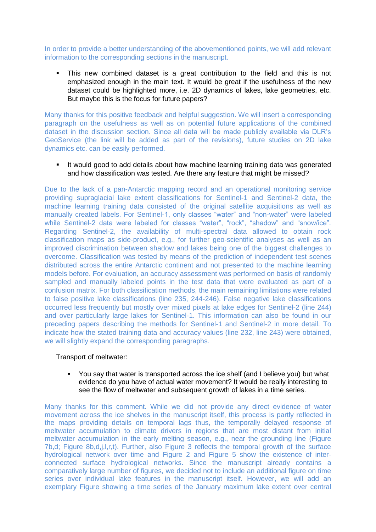In order to provide a better understanding of the abovementioned points, we will add relevant information to the corresponding sections in the manuscript.

This new combined dataset is a great contribution to the field and this is not emphasized enough in the main text. It would be great if the usefulness of the new dataset could be highlighted more, i.e. 2D dynamics of lakes, lake geometries, etc. But maybe this is the focus for future papers?

Many thanks for this positive feedback and helpful suggestion. We will insert a corresponding paragraph on the usefulness as well as on potential future applications of the combined dataset in the discussion section. Since all data will be made publicly available via DLR's GeoService (the link will be added as part of the revisions), future studies on 2D lake dynamics etc. can be easily performed.

■ It would good to add details about how machine learning training data was generated and how classification was tested. Are there any feature that might be missed?

Due to the lack of a pan-Antarctic mapping record and an operational monitoring service providing supraglacial lake extent classifications for Sentinel-1 and Sentinel-2 data, the machine learning training data consisted of the original satellite acquisitions as well as manually created labels. For Sentinel-1, only classes "water" and "non-water" were labeled while Sentinel-2 data were labeled for classes "water", "rock", "shadow" and "snow/ice". Regarding Sentinel-2, the availability of multi-spectral data allowed to obtain rock classification maps as side-product, e.g., for further geo-scientific analyses as well as an improved discrimination between shadow and lakes being one of the biggest challenges to overcome. Classification was tested by means of the prediction of independent test scenes distributed across the entire Antarctic continent and not presented to the machine learning models before. For evaluation, an accuracy assessment was performed on basis of randomly sampled and manually labeled points in the test data that were evaluated as part of a confusion matrix. For both classification methods, the main remaining limitations were related to false positive lake classifications (line 235, 244-246). False negative lake classifications occurred less frequently but mostly over mixed pixels at lake edges for Sentinel-2 (line 244) and over particularly large lakes for Sentinel-1. This information can also be found in our preceding papers describing the methods for Sentinel-1 and Sentinel-2 in more detail. To indicate how the stated training data and accuracy values (line 232, line 243) were obtained, we will slightly expand the corresponding paragraphs.

## Transport of meltwater:

▪ You say that water is transported across the ice shelf (and I believe you) but what evidence do you have of actual water movement? It would be really interesting to see the flow of meltwater and subsequent growth of lakes in a time series.

Many thanks for this comment. While we did not provide any direct evidence of water movement across the ice shelves in the manuscript itself, this process is partly reflected in the maps providing details on temporal lags thus, the temporally delayed response of meltwater accumulation to climate drivers in regions that are most distant from initial meltwater accumulation in the early melting season, e.g., near the grounding line (Figure 7b,d; Figure 8b,d,j,l,r,t). Further, also Figure 3 reflects the temporal growth of the surface hydrological network over time and Figure 2 and Figure 5 show the existence of interconnected surface hydrological networks. Since the manuscript already contains a comparatively large number of figures, we decided not to include an additional figure on time series over individual lake features in the manuscript itself. However, we will add an exemplary Figure showing a time series of the January maximum lake extent over central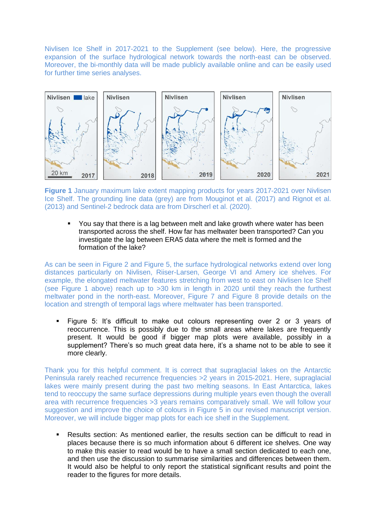Nivlisen Ice Shelf in 2017-2021 to the Supplement (see below). Here, the progressive expansion of the surface hydrological network towards the north-east can be observed. Moreover, the bi-monthly data will be made publicly available online and can be easily used for further time series analyses.



**Figure 1** January maximum lake extent mapping products for years 2017-2021 over Nivlisen Ice Shelf. The grounding line data (grey) are from Mouginot et al. (2017) and Rignot et al. (2013) and Sentinel-2 bedrock data are from Dirscherl et al. (2020).

You say that there is a lag between melt and lake growth where water has been transported across the shelf. How far has meltwater been transported? Can you investigate the lag between ERA5 data where the melt is formed and the formation of the lake?

As can be seen in Figure 2 and Figure 5, the surface hydrological networks extend over long distances particularly on Nivlisen, Riiser-Larsen, George VI and Amery ice shelves. For example, the elongated meltwater features stretching from west to east on Nivlisen Ice Shelf (see Figure 1 above) reach up to >30 km in length in 2020 until they reach the furthest meltwater pond in the north-east. Moreover, Figure 7 and Figure 8 provide details on the location and strength of temporal lags where meltwater has been transported.

▪ Figure 5: It's difficult to make out colours representing over 2 or 3 years of reoccurrence. This is possibly due to the small areas where lakes are frequently present. It would be good if bigger map plots were available, possibly in a supplement? There's so much great data here, it's a shame not to be able to see it more clearly.

Thank you for this helpful comment. It is correct that supraglacial lakes on the Antarctic Peninsula rarely reached recurrence frequencies >2 years in 2015-2021. Here, supraglacial lakes were mainly present during the past two melting seasons. In East Antarctica, lakes tend to reoccupy the same surface depressions during multiple years even though the overall area with recurrence frequencies >3 years remains comparatively small. We will follow your suggestion and improve the choice of colours in Figure 5 in our revised manuscript version. Moreover, we will include bigger map plots for each ice shelf in the Supplement.

▪ Results section: As mentioned earlier, the results section can be difficult to read in places because there is so much information about 6 different ice shelves. One way to make this easier to read would be to have a small section dedicated to each one, and then use the discussion to summarise similarities and differences between them. It would also be helpful to only report the statistical significant results and point the reader to the figures for more details.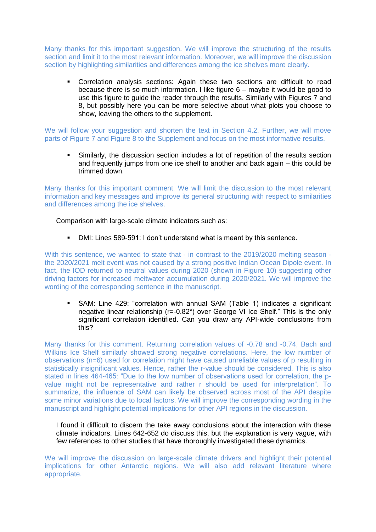Many thanks for this important suggestion. We will improve the structuring of the results section and limit it to the most relevant information. Moreover, we will improve the discussion section by highlighting similarities and differences among the ice shelves more clearly.

Correlation analysis sections: Again these two sections are difficult to read because there is so much information. I like figure 6 – maybe it would be good to use this figure to guide the reader through the results. Similarly with Figures 7 and 8, but possibly here you can be more selective about what plots you choose to show, leaving the others to the supplement.

We will follow your suggestion and shorten the text in Section 4.2. Further, we will move parts of Figure 7 and Figure 8 to the Supplement and focus on the most informative results.

Similarly, the discussion section includes a lot of repetition of the results section and frequently jumps from one ice shelf to another and back again – this could be trimmed down.

Many thanks for this important comment. We will limit the discussion to the most relevant information and key messages and improve its general structuring with respect to similarities and differences among the ice shelves.

Comparison with large-scale climate indicators such as:

■ DMI: Lines 589-591: I don't understand what is meant by this sentence.

With this sentence, we wanted to state that - in contrast to the 2019/2020 melting season the 2020/2021 melt event was not caused by a strong positive Indian Ocean Dipole event. In fact, the IOD returned to neutral values during 2020 (shown in Figure 10) suggesting other driving factors for increased meltwater accumulation during 2020/2021. We will improve the wording of the corresponding sentence in the manuscript.

SAM: Line 429: "correlation with annual SAM (Table 1) indicates a significant negative linear relationship (r=-0.82\*) over George VI Ice Shelf." This is the only significant correlation identified. Can you draw any API-wide conclusions from this?

Many thanks for this comment. Returning correlation values of -0.78 and -0.74, Bach and Wilkins Ice Shelf similarly showed strong negative correlations. Here, the low number of observations (n=6) used for correlation might have caused unreliable values of p resulting in statistically insignificant values. Hence, rather the r-value should be considered. This is also stated in lines 464-465: "Due to the low number of observations used for correlation, the pvalue might not be representative and rather r should be used for interpretation". To summarize, the influence of SAM can likely be observed across most of the API despite some minor variations due to local factors. We will improve the corresponding wording in the manuscript and highlight potential implications for other API regions in the discussion.

I found it difficult to discern the take away conclusions about the interaction with these climate indicators. Lines 642-652 do discuss this, but the explanation is very vague, with few references to other studies that have thoroughly investigated these dynamics.

We will improve the discussion on large-scale climate drivers and highlight their potential implications for other Antarctic regions. We will also add relevant literature where appropriate.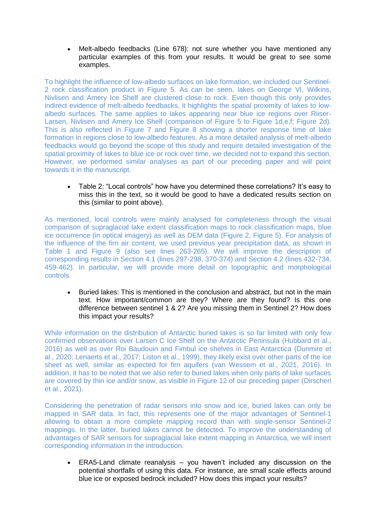• Melt-albedo feedbacks (Line 678): not sure whether you have mentioned any particular examples of this from your results. It would be great to see some examples.

To highlight the influence of low-albedo surfaces on lake formation, we included our Sentinel-2 rock classification product in Figure 5. As can be seen, lakes on George VI, Wilkins, Nivlisen and Amery Ice Shelf are clustered close to rock. Even though this only provides indirect evidence of melt-albedo feedbacks, it highlights the spatial proximity of lakes to lowalbedo surfaces. The same applies to lakes appearing near blue ice regions over Riiser-Larsen, Nivlisen and Amery Ice Shelf (comparison of Figure 5 to Figure 1d,e,f; Figure 2d). This is also reflected in Figure 7 and Figure 8 showing a shorter response time of lake formation in regions close to low-albedo features. As a more detailed analysis of melt-albedo feedbacks would go beyond the scope of this study and require detailed investigation of the spatial proximity of lakes to blue ice or rock over time, we decided not to expand this section. However, we performed similar analyses as part of our preceding paper and will point towards it in the manuscript.

• Table 2: "Local controls" how have you determined these correlations? It's easy to miss this in the text, so it would be good to have a dedicated results section on this (similar to point above).

As mentioned, local controls were mainly analysed for completeness through the visual comparison of supraglacial lake extent classification maps to rock classification maps, blue ice occurrence (in optical imagery) as well as DEM data (Figure 2, Figure 5). For analysis of the influence of the firn air content, we used previous year precipitation data, as shown in Table 1 and Figure 9 (also see lines 263-265). We will improve the description of corresponding results in Section 4.1 (lines 297-298, 370-374) and Section 4.2 (lines 432-734, 459-462). In particular, we will provide more detail on topographic and morphological controls.

• Buried lakes: This is mentioned in the conclusion and abstract, but not in the main text. How important/common are they? Where are they found? Is this one difference between sentinel 1 & 2? Are you missing them in Sentinel 2? How does this impact your results?

While information on the distribution of Antarctic buried lakes is so far limited with only few confirmed observations over Larsen C Ice Shelf on the Antarctic Peninsula (Hubbard et al., 2016) as well as over Roi Baudouin and Fimbul ice shelves in East Antarctica (Dunmire et al., 2020; Lenaerts et al., 2017; Liston et al., 1999), they likely exist over other parts of the ice sheet as well, similar as expected for firn aquifers (van Wessem et al., 2021, 2016). In addition, it has to be noted that we also refer to buried lakes when only parts of lake surfaces are covered by thin ice and/or snow, as visible in Figure 12 of our preceding paper (Dirscherl et al., 2021).

Considering the penetration of radar sensors into snow and ice, buried lakes can only be mapped in SAR data. In fact, this represents one of the major advantages of Sentinel-1 allowing to obtain a more complete mapping record than with single-sensor Sentinel-2 mappings. In the latter, buried lakes cannot be detected. To improve the understanding of advantages of SAR sensors for supraglacial lake extent mapping in Antarctica, we will insert corresponding information in the introduction.

• ERA5-Land climate reanalysis – you haven't included any discussion on the potential shortfalls of using this data. For instance, are small scale effects around blue ice or exposed bedrock included? How does this impact your results?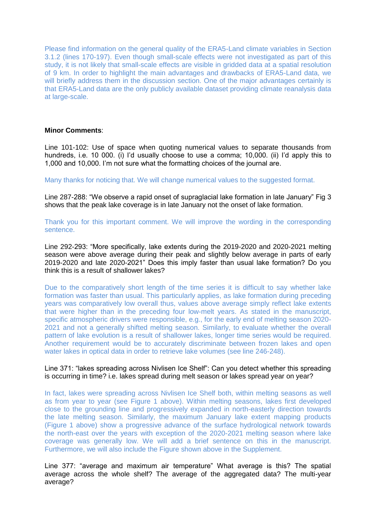Please find information on the general quality of the ERA5-Land climate variables in Section 3.1.2 (lines 170-197). Even though small-scale effects were not investigated as part of this study, it is not likely that small-scale effects are visible in gridded data at a spatial resolution of 9 km. In order to highlight the main advantages and drawbacks of ERA5-Land data, we will briefly address them in the discussion section. One of the major advantages certainly is that ERA5-Land data are the only publicly available dataset providing climate reanalysis data at large-scale.

#### **Minor Comments**:

Line 101-102: Use of space when quoting numerical values to separate thousands from hundreds, i.e. 10 000. (i) I'd usually choose to use a comma; 10,000. (ii) I'd apply this to 1,000 and 10,000. I'm not sure what the formatting choices of the journal are.

Many thanks for noticing that. We will change numerical values to the suggested format.

Line 287-288: "We observe a rapid onset of supraglacial lake formation in late January" Fig 3 shows that the peak lake coverage is in late January not the onset of lake formation.

Thank you for this important comment. We will improve the wording in the corresponding sentence.

Line 292-293: "More specifically, lake extents during the 2019-2020 and 2020-2021 melting season were above average during their peak and slightly below average in parts of early 2019-2020 and late 2020-2021" Does this imply faster than usual lake formation? Do you think this is a result of shallower lakes?

Due to the comparatively short length of the time series it is difficult to say whether lake formation was faster than usual. This particularly applies, as lake formation during preceding years was comparatively low overall thus, values above average simply reflect lake extents that were higher than in the preceding four low-melt years. As stated in the manuscript, specific atmospheric drivers were responsible, e.g., for the early end of melting season 2020- 2021 and not a generally shifted melting season. Similarly, to evaluate whether the overall pattern of lake evolution is a result of shallower lakes, longer time series would be required. Another requirement would be to accurately discriminate between frozen lakes and open water lakes in optical data in order to retrieve lake volumes (see line 246-248).

#### Line 371: "lakes spreading across Nivlisen Ice Shelf": Can you detect whether this spreading is occurring in time? i.e. lakes spread during melt season or lakes spread year on year?

In fact, lakes were spreading across Nivlisen Ice Shelf both, within melting seasons as well as from year to year (see Figure 1 above). Within melting seasons, lakes first developed close to the grounding line and progressively expanded in north-easterly direction towards the late melting season. Similarly, the maximum January lake extent mapping products (Figure 1 above) show a progressive advance of the surface hydrological network towards the north-east over the years with exception of the 2020-2021 melting season where lake coverage was generally low. We will add a brief sentence on this in the manuscript. Furthermore, we will also include the Figure shown above in the Supplement.

Line 377: "average and maximum air temperature" What average is this? The spatial average across the whole shelf? The average of the aggregated data? The multi-year average?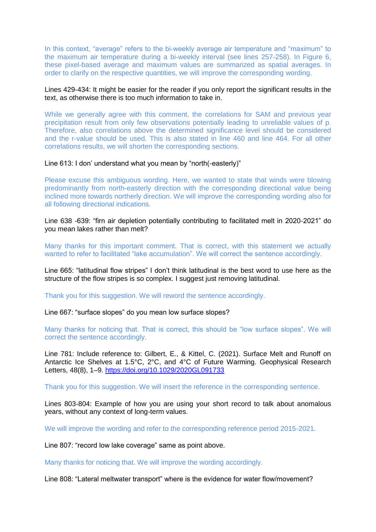In this context, "average" refers to the bi-weekly average air temperature and "maximum" to the maximum air temperature during a bi-weekly interval (see lines 257-258). In Figure 6, these pixel-based average and maximum values are summarized as spatial averages. In order to clarify on the respective quantities, we will improve the corresponding wording.

## Lines 429-434: It might be easier for the reader if you only report the significant results in the text, as otherwise there is too much information to take in.

While we generally agree with this comment, the correlations for SAM and previous year precipitation result from only few observations potentially leading to unreliable values of p. Therefore, also correlations above the determined significance level should be considered and the r-value should be used. This is also stated in line 460 and line 464. For all other correlations results, we will shorten the corresponding sections.

#### Line 613: I don' understand what you mean by "north(-easterly)"

Please excuse this ambiguous wording. Here, we wanted to state that winds were blowing predominantly from north-easterly direction with the corresponding directional value being inclined more towards northerly direction. We will improve the corresponding wording also for all following directional indications.

Line 638 -639: "firn air depletion potentially contributing to facilitated melt in 2020-2021" do you mean lakes rather than melt?

Many thanks for this important comment. That is correct, with this statement we actually wanted to refer to facilitated "lake accumulation". We will correct the sentence accordingly.

Line 665: "latitudinal flow stripes" I don't think latitudinal is the best word to use here as the structure of the flow stripes is so complex. I suggest just removing latitudinal.

Thank you for this suggestion. We will reword the sentence accordingly.

Line 667: "surface slopes" do you mean low surface slopes?

Many thanks for noticing that. That is correct, this should be "low surface slopes". We will correct the sentence accordingly.

Line 781: Include reference to: Gilbert, E., & Kittel, C. (2021). Surface Melt and Runoff on Antarctic Ice Shelves at 1.5°C, 2°C, and 4°C of Future Warming. Geophysical Research Letters, 48(8), 1–9.<https://doi.org/10.1029/2020GL091733>

Thank you for this suggestion. We will insert the reference in the corresponding sentence.

Lines 803-804: Example of how you are using your short record to talk about anomalous years, without any context of long-term values.

We will improve the wording and refer to the corresponding reference period 2015-2021.

Line 807: "record low lake coverage" same as point above.

Many thanks for noticing that. We will improve the wording accordingly.

Line 808: "Lateral meltwater transport" where is the evidence for water flow/movement?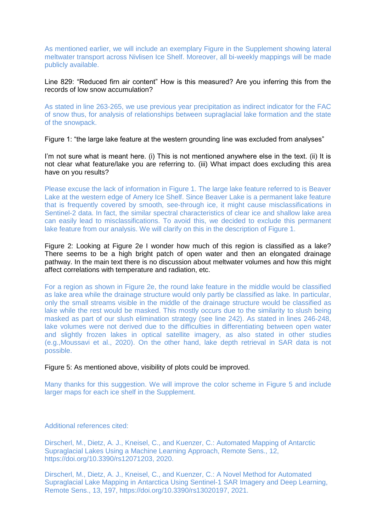As mentioned earlier, we will include an exemplary Figure in the Supplement showing lateral meltwater transport across Nivlisen Ice Shelf. Moreover, all bi-weekly mappings will be made publicly available.

## Line 829: "Reduced firn air content" How is this measured? Are you inferring this from the records of low snow accumulation?

As stated in line 263-265, we use previous year precipitation as indirect indicator for the FAC of snow thus, for analysis of relationships between supraglacial lake formation and the state of the snowpack.

Figure 1: "the large lake feature at the western grounding line was excluded from analyses"

I'm not sure what is meant here. (i) This is not mentioned anywhere else in the text. (ii) It is not clear what feature/lake you are referring to. (iii) What impact does excluding this area have on you results?

Please excuse the lack of information in Figure 1. The large lake feature referred to is Beaver Lake at the western edge of Amery Ice Shelf. Since Beaver Lake is a permanent lake feature that is frequently covered by smooth, see-through ice, it might cause misclassifications in Sentinel-2 data. In fact, the similar spectral characteristics of clear ice and shallow lake area can easily lead to misclassifications. To avoid this, we decided to exclude this permanent lake feature from our analysis. We will clarify on this in the description of Figure 1.

Figure 2: Looking at Figure 2e I wonder how much of this region is classified as a lake? There seems to be a high bright patch of open water and then an elongated drainage pathway. In the main text there is no discussion about meltwater volumes and how this might affect correlations with temperature and radiation, etc.

For a region as shown in Figure 2e, the round lake feature in the middle would be classified as lake area while the drainage structure would only partly be classified as lake. In particular, only the small streams visible in the middle of the drainage structure would be classified as lake while the rest would be masked. This mostly occurs due to the similarity to slush being masked as part of our slush elimination strategy (see line 242). As stated in lines 246-248, lake volumes were not derived due to the difficulties in differentiating between open water and slightly frozen lakes in optical satellite imagery, as also stated in other studies (e.g.,Moussavi et al., 2020). On the other hand, lake depth retrieval in SAR data is not possible.

Figure 5: As mentioned above, visibility of plots could be improved.

Many thanks for this suggestion. We will improve the color scheme in Figure 5 and include larger maps for each ice shelf in the Supplement.

Additional references cited:

Dirscherl, M., Dietz, A. J., Kneisel, C., and Kuenzer, C.: Automated Mapping of Antarctic Supraglacial Lakes Using a Machine Learning Approach, Remote Sens., 12, https://doi.org/10.3390/rs12071203, 2020.

Dirscherl, M., Dietz, A. J., Kneisel, C., and Kuenzer, C.: A Novel Method for Automated Supraglacial Lake Mapping in Antarctica Using Sentinel-1 SAR Imagery and Deep Learning, Remote Sens., 13, 197, https://doi.org/10.3390/rs13020197, 2021.